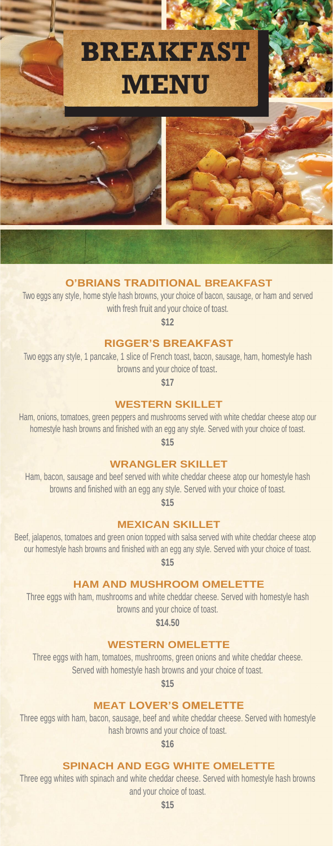

## **O'BRIANS TRADITIONAL BREAKFAST**

Two eggs any style, home style hash browns, your choice of bacon, sausage, or ham and served with fresh fruit and your choice of toast.

**\$12**

#### **RIGGER'S BREAKFAST**

Two eggs any style, 1 pancake, 1 slice of French toast, bacon, sausage, ham, homestyle hash browns and your choice of toast.

**\$17**

### **WESTERN SKILLET**

Ham, onions, tomatoes, green peppers and mushrooms served with white cheddar cheese atop our homestyle hash browns and finished with an egg any style. Served with your choice of toast. **\$15**

#### **WRANGLER SKILLET**

Ham, bacon, sausage and beef served with white cheddar cheese atop our homestyle hash browns and finished with an egg any style. Served with your choice of toast.

**\$15**

#### **MEXICAN SKILLET**

Beef, jalapenos, tomatoes and green onion topped with salsa served with white cheddar cheese atop our homestyle hash browns and finished with an egg any style. Served with your choice of toast. **\$15**

**HAM AND MUSHROOM OMELETTE**

Three eggs with ham, mushrooms and white cheddar cheese. Served with homestyle hash browns and your choice of toast.

**\$14.50**

#### **WESTERN OMELETTE**

Three eggs with ham, tomatoes, mushrooms, green onions and white cheddar cheese. Served with homestyle hash browns and your choice of toast.

**\$15**

#### **MEAT LOVER'S OMELETTE**

Three eggs with ham, bacon, sausage, beef and white cheddar cheese. Served with homestyle hash browns and your choice of toast.

**\$16**

#### **SPINACH AND EGG WHITE OMELETTE**

Three egg whites with spinach and white cheddar cheese. Served with homestyle hash browns and your choice of toast.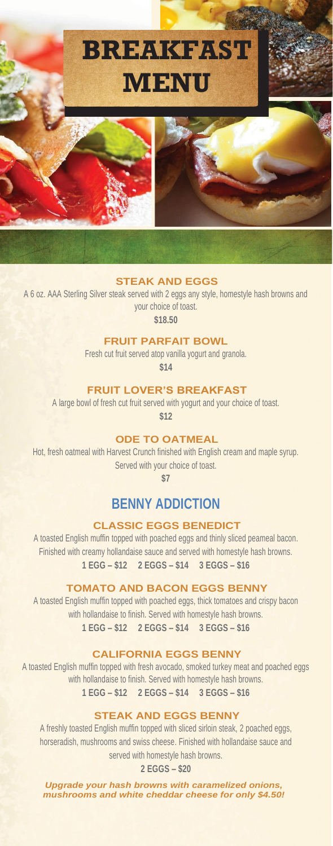

#### **STEAK AND EGGS**

A 6 oz. AAA Sterling Silver steak served with 2 eggs any style, homestyle hash browns and your choice of toast.

**\$18.50**

#### **FRUIT PARFAIT BOWL**

Fresh cut fruit served atop vanilla yogurt and granola.

**\$14**

### **FRUIT LOVER'S BREAKFAST**

A large bowl of fresh cut fruit served with yogurt and your choice of toast.

**\$12**

# **ODE TO OATMEAL**

Hot, fresh oatmeal with Harvest Crunch finished with English cream and maple syrup. Served with your choice of toast.

**\$7**

# **BENNY ADDICTION**

# **CLASSIC EGGS BENEDICT**

A toasted English muffin topped with poached eggs and thinly sliced peameal bacon. Finished with creamy hollandaise sauce and served with homestyle hash browns. **1 EGG – \$12 2 EGGS – \$14 3 EGGS – \$16**

#### **TOMATO AND BACON EGGS BENNY**

A toasted English muffin topped with poached eggs, thick tomatoes and crispy bacon with hollandaise to finish. Served with homestyle hash browns. **1 EGG – \$12 2 EGGS – \$14 3 EGGS – \$16**

#### **CALIFORNIA EGGS BENNY**

A toasted English muffin topped with fresh avocado, smoked turkey meat and poached eggs with hollandaise to finish. Served with homestyle hash browns. **1 EGG – \$12 2 EGGS – \$14 3 EGGS – \$16**

## **STEAK AND EGGS BENNY**

A freshly toasted English muffin topped with sliced sirloin steak, 2 poached eggs, horseradish, mushrooms and swiss cheese. Finished with hollandaise sauce and served with homestyle hash browns.

**2 EGGS – \$20**

*Upgrade your hash browns with caramelized onions, mushrooms and white cheddar cheese for only \$4.50!*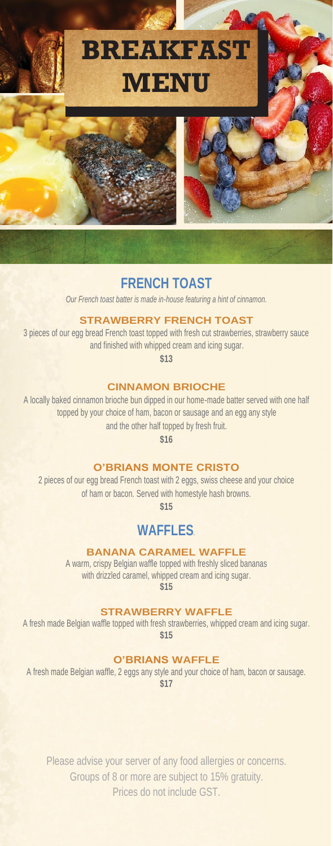

# **FRENCH TOAST**

*Our French toast batter is made in-house featuring a hint of cinnamon.*

### **STRAWBERRY FRENCH TOAST**

3 pieces of our egg bread French toast topped with fresh cut strawberries, strawberry sauce and finished with whipped cream and icing sugar.

**\$13**

### **CINNAMON BRIOCHE**

A locally baked cinnamon brioche bun dipped in our home-made batter served with one half topped by your choice of ham, bacon or sausage and an egg any style and the other half topped by fresh fruit.

**\$16**

## **O'BRIANS MONTE CRISTO**

2 pieces of our egg bread French toast with 2 eggs, swiss cheese and your choice of ham or bacon. Served with homestyle hash browns.

**\$15**

# **WAFFLES***.*

## **BANANA CARAMEL WAFFLE**

A warm, crispy Belgian waffle topped with freshly sliced bananas with drizzled caramel, whipped cream and icing sugar. **\$15**

**STRAWBERRY WAFFLE**

A fresh made Belgian waffle topped with fresh strawberries, whipped cream and icing sugar. **\$15**

#### **O'BRIANS WAFFLE**

A fresh made Belgian waffle, 2 eggs any style and your choice of ham, bacon or sausage. **\$17**

Please advise your server of any food allergies or concerns. Groups of 8 or more are subject to 15% gratuity. Prices do not include GST.